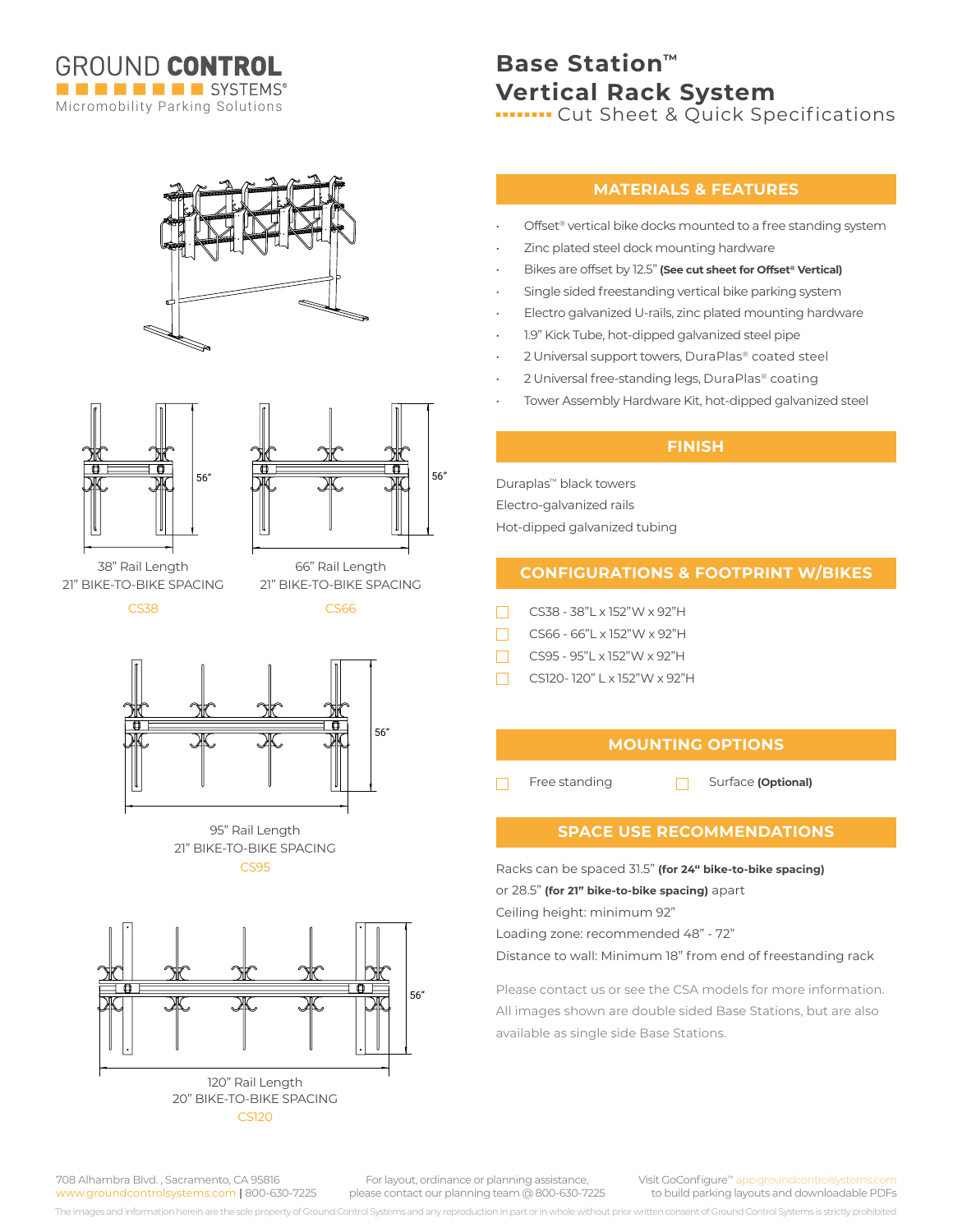







21" BIKE-TO-BIKE SPACING 38" Rail Length 66" Rail Length

 $CS38$ 

CS66 21" BIKE-TO-BIKE SPACING



21" BIKE-TO-BIKE SPACING CS95 95" Rail Length



CS120

# **Base Station™ Vertical Rack System**

**INCOTE:** Cut Sheet & Quick Specifications

## **MATERIALS & FEATURES**

- Offset<sup>®</sup> vertical bike docks mounted to a free standing system
- Zinc plated steel dock mounting hardware
- Bikes are offset by 12.5" **(See cut sheet for Offset® Vertical)**
- Single sided freestanding vertical bike parking system
- Electro galvanized U-rails, zinc plated mounting hardware
- 1.9" Kick Tube, hot-dipped galvanized steel pipe
- 2 Universal support towers, DuraPlas® coated steel
- 2 Universal free-standing legs, DuraPlas® coating
- Tower Assembly Hardware Kit, hot-dipped galvanized steel

## **FINISH**

Duraplas™ black towers Electro-galvanized rails Hot-dipped galvanized tubing

# **CONFIGURATIONS & FOOTPRINT W/BIKES**

- П CS38 - 38"L x 152"W x 92"H
- CS66 66"L x 152"W x 92"H
- CS95 95"L x 152"W x 92"H
- CS120- 120" L x 152"W x 92"H  $\Box$

# **MOUNTING OPTIONS**

П

Free standing **Surface (Optional)** 

### **SPACE USE RECOMMENDATIONS**

Racks can be spaced 31.5" **(for 24" bike-to-bike spacing)** or 28.5" **(for 21" bike-to-bike spacing)** apart

Ceiling height: minimum 92"

Loading zone: recommended 48" - 72"

Distance to wall: Minimum 18" from end of freestanding rack

Please contact us or see the CSA models for more information. All images shown are double sided Base Stations, but are also available as single side Base Stations.

708 Alhambra Blvd. , Sacramento, CA 95816 www.groundcontrolsystems.com **|** 800-630-7225

For layout, ordinance or planning assistance, please contact our planning team @ 800-630-7225 Visit GoConfigure™ app.groundcontrolsyste to build parking layouts and downloadable PDFs